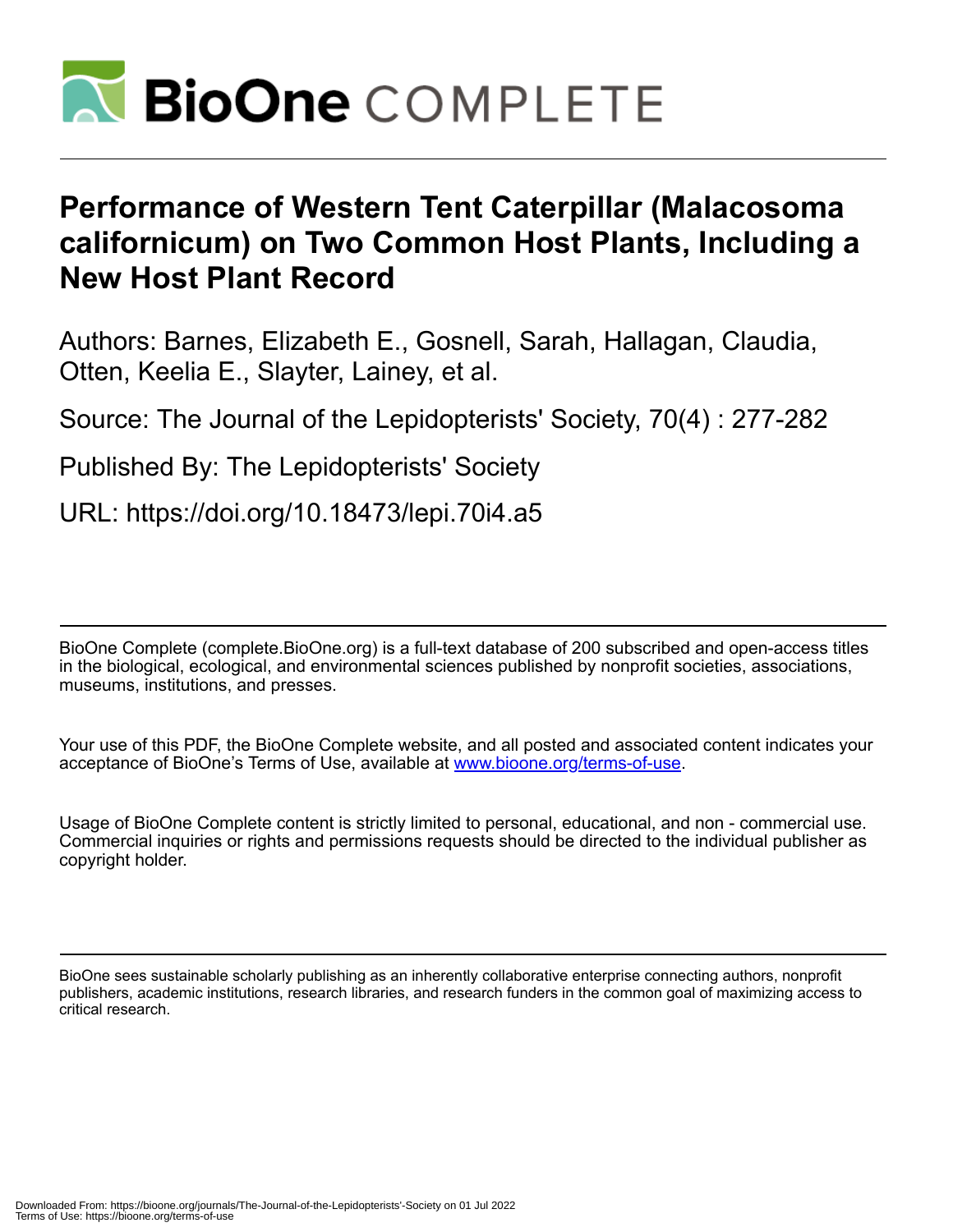

# **Performance of Western Tent Caterpillar (Malacosoma californicum) on Two Common Host Plants, Including a New Host Plant Record**

Authors: Barnes, Elizabeth E., Gosnell, Sarah, Hallagan, Claudia, Otten, Keelia E., Slayter, Lainey, et al.

Source: The Journal of the Lepidopterists' Society, 70(4) : 277-282

Published By: The Lepidopterists' Society

URL: https://doi.org/10.18473/lepi.70i4.a5

BioOne Complete (complete.BioOne.org) is a full-text database of 200 subscribed and open-access titles in the biological, ecological, and environmental sciences published by nonprofit societies, associations, museums, institutions, and presses.

Your use of this PDF, the BioOne Complete website, and all posted and associated content indicates your acceptance of BioOne's Terms of Use, available at www.bioone.org/terms-of-use.

Usage of BioOne Complete content is strictly limited to personal, educational, and non - commercial use. Commercial inquiries or rights and permissions requests should be directed to the individual publisher as copyright holder.

BioOne sees sustainable scholarly publishing as an inherently collaborative enterprise connecting authors, nonprofit publishers, academic institutions, research libraries, and research funders in the common goal of maximizing access to critical research.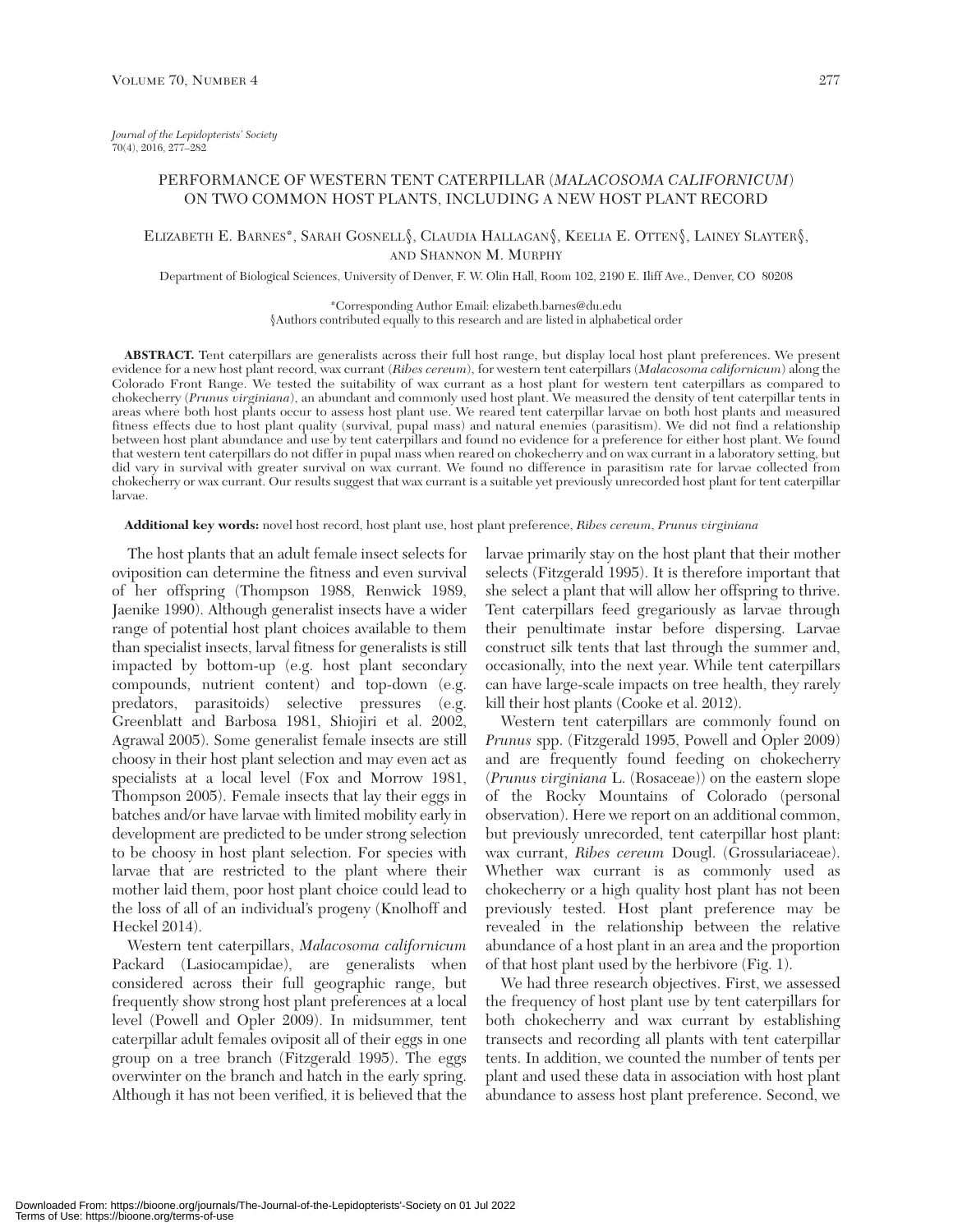## PERFORMANCE OF WESTERN TENT CATERPILLAR (*MALACOSOMA CALIFORNICUM*) ON TWO COMMON HOST PLANTS, INCLUDING A NEW HOST PLANT RECORD

## ELIZABETH E. BARNES\*, SARAH GOSNELL§, CLAUDIA HALLAGAN§, KEELIA E. OTTEN§, LAINEY SLAYTER§, AND SHANNON M. MURPHY

Department of Biological Sciences, University of Denver, F. W. Olin Hall, Room 102, 2190 E. Iliff Ave., Denver, CO 80208

\*Corresponding Author Email: elizabeth.barnes@du.edu

§Authors contributed equally to this research and are listed in alphabetical order

**ABSTRACT.** Tent caterpillars are generalists across their full host range, but display local host plant preferences. We present evidence for a new host plant record, wax currant (*Ribes cereum*), for western tent caterpillars (*Malacosoma californicum*) along the Colorado Front Range. We tested the suitability of wax currant as a host plant for western tent caterpillars as compared to chokecherry (*Prunus virginiana*), an abundant and commonly used host plant. We measured the density of tent caterpillar tents in areas where both host plants occur to assess host plant use. We reared tent caterpillar larvae on both host plants and measured fitness effects due to host plant quality (survival, pupal mass) and natural enemies (parasitism). We did not find a relationship between host plant abundance and use by tent caterpillars and found no evidence for a preference for either host plant. We found that western tent caterpillars do not differ in pupal mass when reared on chokecherry and on wax currant in a laboratory setting, but did vary in survival with greater survival on wax currant. We found no difference in parasitism rate for larvae collected from chokecherry or wax currant. Our results suggest that wax currant is a suitable yet previously unrecorded host plant for tent caterpillar larvae.

#### **Additional key words:** novel host record, host plant use, host plant preference, *Ribes cereum*, *Prunus virginiana*

The host plants that an adult female insect selects for oviposition can determine the fitness and even survival of her offspring (Thompson 1988, Renwick 1989, Jaenike 1990). Although generalist insects have a wider range of potential host plant choices available to them than specialist insects, larval fitness for generalists is still impacted by bottom-up (e.g. host plant secondary compounds, nutrient content) and top-down (e.g. predators, parasitoids) selective pressures (e.g. Greenblatt and Barbosa 1981, Shiojiri et al. 2002, Agrawal 2005). Some generalist female insects are still choosy in their host plant selection and may even act as specialists at a local level (Fox and Morrow 1981, Thompson 2005). Female insects that lay their eggs in batches and/or have larvae with limited mobility early in development are predicted to be under strong selection to be choosy in host plant selection. For species with larvae that are restricted to the plant where their mother laid them, poor host plant choice could lead to the loss of all of an individual's progeny (Knolhoff and Heckel 2014).

Western tent caterpillars, *Malacosoma californicum* Packard (Lasiocampidae), are generalists when considered across their full geographic range, but frequently show strong host plant preferences at a local level (Powell and Opler 2009). In midsummer, tent caterpillar adult females oviposit all of their eggs in one group on a tree branch (Fitzgerald 1995). The eggs overwinter on the branch and hatch in the early spring. Although it has not been verified, it is believed that the

larvae primarily stay on the host plant that their mother selects (Fitzgerald 1995). It is therefore important that she select a plant that will allow her offspring to thrive. Tent caterpillars feed gregariously as larvae through their penultimate instar before dispersing. Larvae construct silk tents that last through the summer and, occasionally, into the next year. While tent caterpillars can have large-scale impacts on tree health, they rarely kill their host plants (Cooke et al. 2012).

Western tent caterpillars are commonly found on *Prunus* spp. (Fitzgerald 1995, Powell and Opler 2009) and are frequently found feeding on chokecherry (*Prunus virginiana* L. (Rosaceae)) on the eastern slope of the Rocky Mountains of Colorado (personal observation). Here we report on an additional common, but previously unrecorded, tent caterpillar host plant: wax currant, *Ribes cereum* Dougl. (Grossulariaceae). Whether wax currant is as commonly used as chokecherry or a high quality host plant has not been previously tested. Host plant preference may be revealed in the relationship between the relative abundance of a host plant in an area and the proportion of that host plant used by the herbivore (Fig. 1).

We had three research objectives. First, we assessed the frequency of host plant use by tent caterpillars for both chokecherry and wax currant by establishing transects and recording all plants with tent caterpillar tents. In addition, we counted the number of tents per plant and used these data in association with host plant abundance to assess host plant preference. Second, we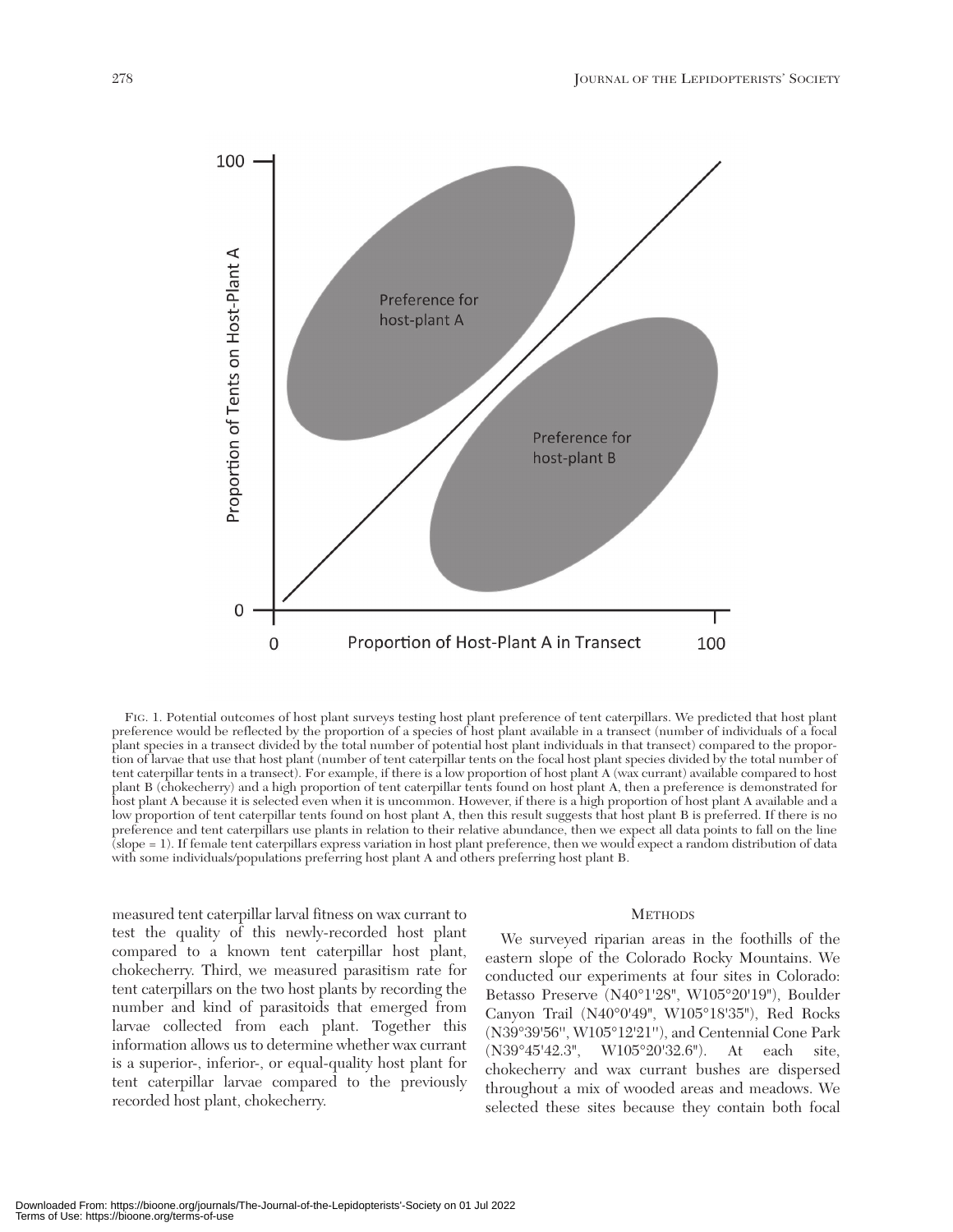

FIG. 1. Potential outcomes of host plant surveys testing host plant preference of tent caterpillars. We predicted that host plant preference would be reflected by the proportion of a species of host plant available in a transect (number of individuals of a focal plant species in a transect divided by the total number of potential host plant individuals in that transect) compared to the proportion of larvae that use that host plant (number of tent caterpillar tents on the focal host plant species divided by the total number of tent caterpillar tents in a transect). For example, if there is a low proportion of host plant A (wax currant) available compared to host plant B (chokecherry) and a high proportion of tent caterpillar tents found on host plant A, then a preference is demonstrated for host plant A because it is selected even when it is uncommon. However, if there is a high proportion of host plant A available and a low proportion of tent caterpillar tents found on host plant A, then this result suggests that host plant B is preferred. If there is no preference and tent caterpillars use plants in relation to their relative abundance, then we expect all data points to fall on the line (slope = 1). If female tent caterpillars express variation in host plant preference, then we would expect a random distribution of data with some individuals/populations preferring host plant A and others preferring host plant B.

measured tent caterpillar larval fitness on wax currant to test the quality of this newly-recorded host plant compared to a known tent caterpillar host plant, chokecherry. Third, we measured parasitism rate for tent caterpillars on the two host plants by recording the number and kind of parasitoids that emerged from larvae collected from each plant. Together this information allows us to determine whether wax currant is a superior-, inferior-, or equal-quality host plant for tent caterpillar larvae compared to the previously recorded host plant, chokecherry.

### **METHODS**

We surveyed riparian areas in the foothills of the eastern slope of the Colorado Rocky Mountains. We conducted our experiments at four sites in Colorado: Betasso Preserve (N40°1'28", W105°20'19"), Boulder Canyon Trail (N40°0'49", W105°18'35"), Red Rocks (N39°39'56'', W105°12'21''), and Centennial Cone Park (N39°45'42.3", W105°20'32.6"). At each site, chokecherry and wax currant bushes are dispersed throughout a mix of wooded areas and meadows. We selected these sites because they contain both focal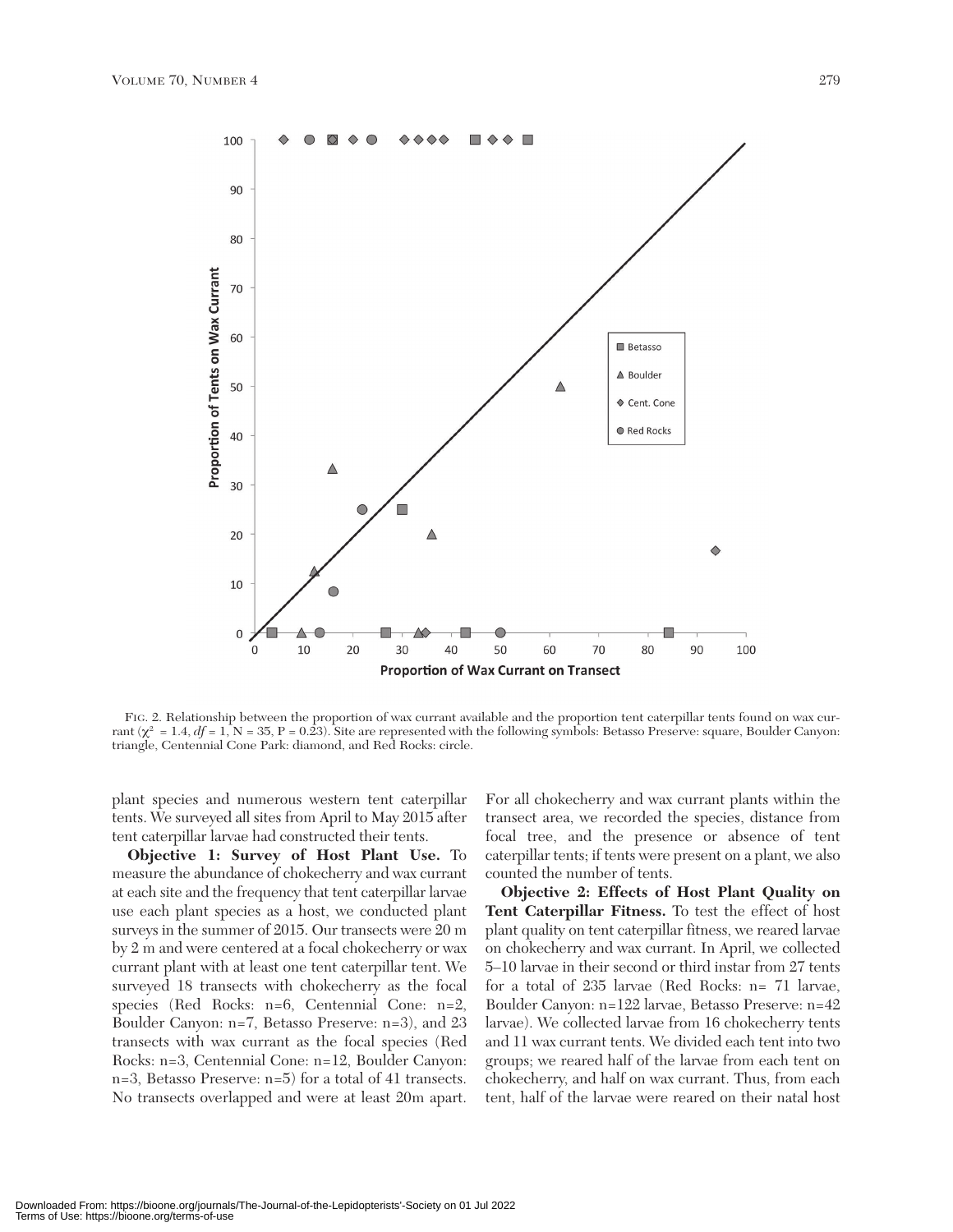

FIG. 2. Relationship between the proportion of wax currant available and the proportion tent caterpillar tents found on wax currant ( $\chi^2 = 1.4$ ,  $df = 1$ ,  $N = 35$ ,  $P = 0.\overline{2}3$ ). Site are represented with the following symbols: Betasso Preserve: square, Boulder Canyon: triangle, Centennial Cone Park: diamond, and Red Rocks: circle.

plant species and numerous western tent caterpillar tents. We surveyed all sites from April to May 2015 after tent caterpillar larvae had constructed their tents.

**Objective 1: Survey of Host Plant Use.** To measure the abundance of chokecherry and wax currant at each site and the frequency that tent caterpillar larvae use each plant species as a host, we conducted plant surveys in the summer of 2015. Our transects were 20 m by 2 m and were centered at a focal chokecherry or wax currant plant with at least one tent caterpillar tent. We surveyed 18 transects with chokecherry as the focal species (Red Rocks: n=6, Centennial Cone: n=2, Boulder Canyon: n=7, Betasso Preserve: n=3), and 23 transects with wax currant as the focal species (Red Rocks: n=3, Centennial Cone: n=12, Boulder Canyon: n=3, Betasso Preserve: n=5) for a total of 41 transects. No transects overlapped and were at least 20m apart.

For all chokecherry and wax currant plants within the transect area, we recorded the species, distance from focal tree, and the presence or absence of tent caterpillar tents; if tents were present on a plant, we also counted the number of tents.

**Objective 2: Effects of Host Plant Quality on Tent Caterpillar Fitness.** To test the effect of host plant quality on tent caterpillar fitness, we reared larvae on chokecherry and wax currant. In April, we collected 5–10 larvae in their second or third instar from 27 tents for a total of 235 larvae (Red Rocks: n= 71 larvae, Boulder Canyon: n=122 larvae, Betasso Preserve: n=42 larvae). We collected larvae from 16 chokecherry tents and 11 wax currant tents. We divided each tent into two groups; we reared half of the larvae from each tent on chokecherry, and half on wax currant. Thus, from each tent, half of the larvae were reared on their natal host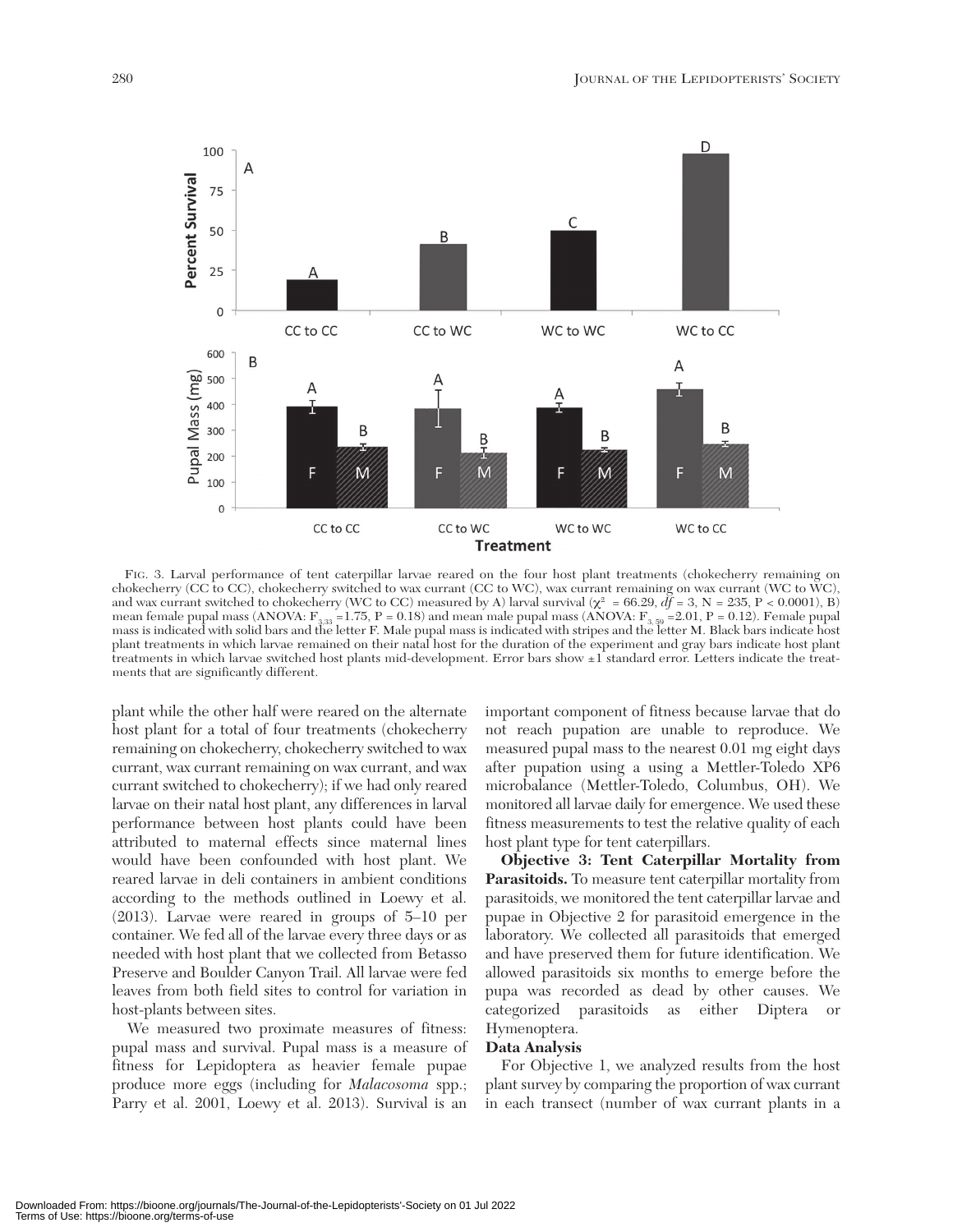

FIG. 3. Larval performance of tent caterpillar larvae reared on the four host plant treatments (chokecherry remaining on chokecherry (CC to CC), chokecherry switched to wax currant (CC to WC), wax currant remaining on wax currant (WC to WC), and wax currant switched to chokecherry (WC to CC) measured by A) larval survival  $(\chi^2 = 66.29, df = 3, N = 235, P < 0.0001)$ , B) mean female pupal mass (ANOVA:  $F_{3,33}$  =1.75, P = 0.18) and mean male pupal mass (ANOVA:  $F_{3,59}$  =2.01, P = 0.12). Female pupal<br>mass is indicated with solid bars and the letter F. Male pupal mass is indicated with str plant treatments in which larvae remained on their natal host for the duration of the experiment and gray bars indicate host plant treatments in which larvae switched host plants mid-development. Error bars show ±1 standard error. Letters indicate the treatments that are significantly different.

plant while the other half were reared on the alternate host plant for a total of four treatments (chokecherry remaining on chokecherry, chokecherry switched to wax currant, wax currant remaining on wax currant, and wax currant switched to chokecherry); if we had only reared larvae on their natal host plant, any differences in larval performance between host plants could have been attributed to maternal effects since maternal lines would have been confounded with host plant. We reared larvae in deli containers in ambient conditions according to the methods outlined in Loewy et al. (2013). Larvae were reared in groups of 5–10 per container. We fed all of the larvae every three days or as needed with host plant that we collected from Betasso Preserve and Boulder Canyon Trail. All larvae were fed leaves from both field sites to control for variation in host-plants between sites.

We measured two proximate measures of fitness: pupal mass and survival. Pupal mass is a measure of fitness for Lepidoptera as heavier female pupae produce more eggs (including for *Malacosoma* spp.; Parry et al. 2001, Loewy et al. 2013). Survival is an

important component of fitness because larvae that do not reach pupation are unable to reproduce. We measured pupal mass to the nearest 0.01 mg eight days after pupation using a using a Mettler-Toledo XP6 microbalance (Mettler-Toledo, Columbus, OH). We monitored all larvae daily for emergence. We used these fitness measurements to test the relative quality of each host plant type for tent caterpillars.

**Objective 3: Tent Caterpillar Mortality from Parasitoids.** To measure tent caterpillar mortality from parasitoids, we monitored the tent caterpillar larvae and pupae in Objective 2 for parasitoid emergence in the laboratory. We collected all parasitoids that emerged and have preserved them for future identification. We allowed parasitoids six months to emerge before the pupa was recorded as dead by other causes. We categorized parasitoids as either Diptera or Hymenoptera.

## **Data Analysis**

For Objective 1, we analyzed results from the host plant survey by comparing the proportion of wax currant in each transect (number of wax currant plants in a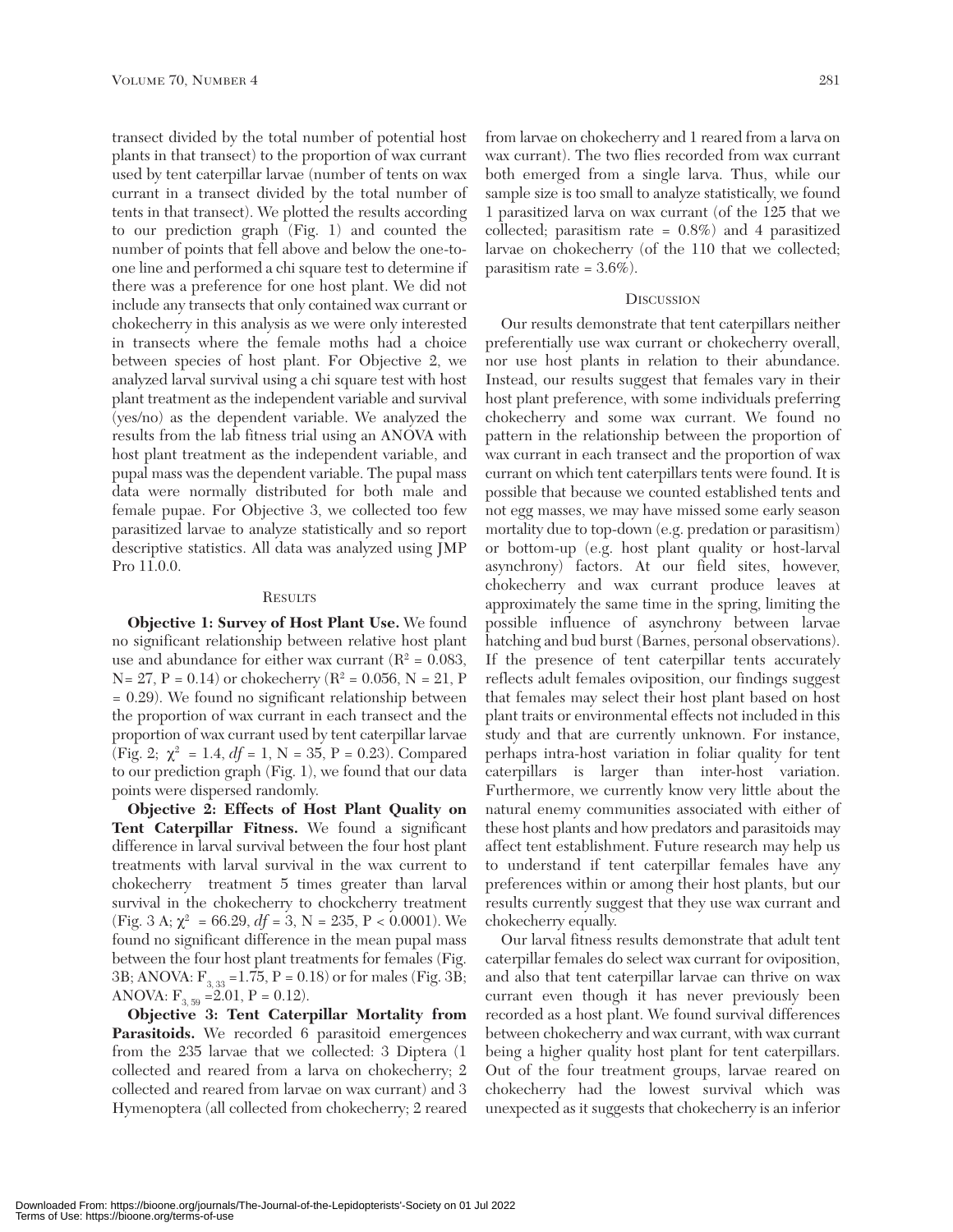transect divided by the total number of potential host plants in that transect) to the proportion of wax currant used by tent caterpillar larvae (number of tents on wax currant in a transect divided by the total number of tents in that transect). We plotted the results according to our prediction graph (Fig. 1) and counted the number of points that fell above and below the one-toone line and performed a chi square test to determine if there was a preference for one host plant. We did not include any transects that only contained wax currant or chokecherry in this analysis as we were only interested in transects where the female moths had a choice between species of host plant. For Objective 2, we analyzed larval survival using a chi square test with host plant treatment as the independent variable and survival (yes/no) as the dependent variable. We analyzed the results from the lab fitness trial using an ANOVA with host plant treatment as the independent variable, and pupal mass was the dependent variable. The pupal mass data were normally distributed for both male and female pupae. For Objective 3, we collected too few parasitized larvae to analyze statistically and so report descriptive statistics. All data was analyzed using JMP Pro 11.0.0.

#### **RESULTS**

**Objective 1: Survey of Host Plant Use.** We found no significant relationship between relative host plant use and abundance for either wax currant ( $R^2 = 0.083$ ,  $N= 27, P = 0.14$ ) or chokecherry ( $R^2 = 0.056, N = 21, P$ = 0.29). We found no significant relationship between the proportion of wax currant in each transect and the proportion of wax currant used by tent caterpillar larvae (Fig. 2;  $\chi^2 = 1.4$ ,  $df = 1$ , N = 35, P = 0.23). Compared to our prediction graph (Fig. 1), we found that our data points were dispersed randomly.

**Objective 2: Effects of Host Plant Quality on Tent Caterpillar Fitness.** We found a significant difference in larval survival between the four host plant treatments with larval survival in the wax current to chokecherry treatment 5 times greater than larval survival in the chokecherry to chockcherry treatment (Fig. 3 A;  $\chi^2$  = 66.29,  $df = 3$ , N = 235, P < 0.0001). We found no significant difference in the mean pupal mass between the four host plant treatments for females (Fig. 3B; ANOVA:  $F_{3, 33} = 1.75$ , P = 0.18) or for males (Fig. 3B; ANOVA:  $F_{3,59} = 2.01$ ,  $P = 0.12$ ).

**Objective 3: Tent Caterpillar Mortality from** Parasitoids. We recorded 6 parasitoid emergences from the 235 larvae that we collected: 3 Diptera (1 collected and reared from a larva on chokecherry; 2 collected and reared from larvae on wax currant) and 3 Hymenoptera (all collected from chokecherry; 2 reared

from larvae on chokecherry and 1 reared from a larva on wax currant). The two flies recorded from wax currant both emerged from a single larva. Thus, while our sample size is too small to analyze statistically, we found 1 parasitized larva on wax currant (of the 125 that we collected; parasitism rate = 0.8%) and 4 parasitized larvae on chokecherry (of the 110 that we collected; parasitism rate =  $3.6\%$ ).

## **DISCUSSION**

Our results demonstrate that tent caterpillars neither preferentially use wax currant or chokecherry overall, nor use host plants in relation to their abundance. Instead, our results suggest that females vary in their host plant preference, with some individuals preferring chokecherry and some wax currant. We found no pattern in the relationship between the proportion of wax currant in each transect and the proportion of wax currant on which tent caterpillars tents were found. It is possible that because we counted established tents and not egg masses, we may have missed some early season mortality due to top-down (e.g. predation or parasitism) or bottom-up (e.g. host plant quality or host-larval asynchrony) factors. At our field sites, however, chokecherry and wax currant produce leaves at approximately the same time in the spring, limiting the possible influence of asynchrony between larvae hatching and bud burst (Barnes, personal observations). If the presence of tent caterpillar tents accurately reflects adult females oviposition, our findings suggest that females may select their host plant based on host plant traits or environmental effects not included in this study and that are currently unknown. For instance, perhaps intra-host variation in foliar quality for tent caterpillars is larger than inter-host variation. Furthermore, we currently know very little about the natural enemy communities associated with either of these host plants and how predators and parasitoids may affect tent establishment. Future research may help us to understand if tent caterpillar females have any preferences within or among their host plants, but our results currently suggest that they use wax currant and chokecherry equally.

Our larval fitness results demonstrate that adult tent caterpillar females do select wax currant for oviposition, and also that tent caterpillar larvae can thrive on wax currant even though it has never previously been recorded as a host plant. We found survival differences between chokecherry and wax currant, with wax currant being a higher quality host plant for tent caterpillars. Out of the four treatment groups, larvae reared on chokecherry had the lowest survival which was unexpected as it suggests that chokecherry is an inferior